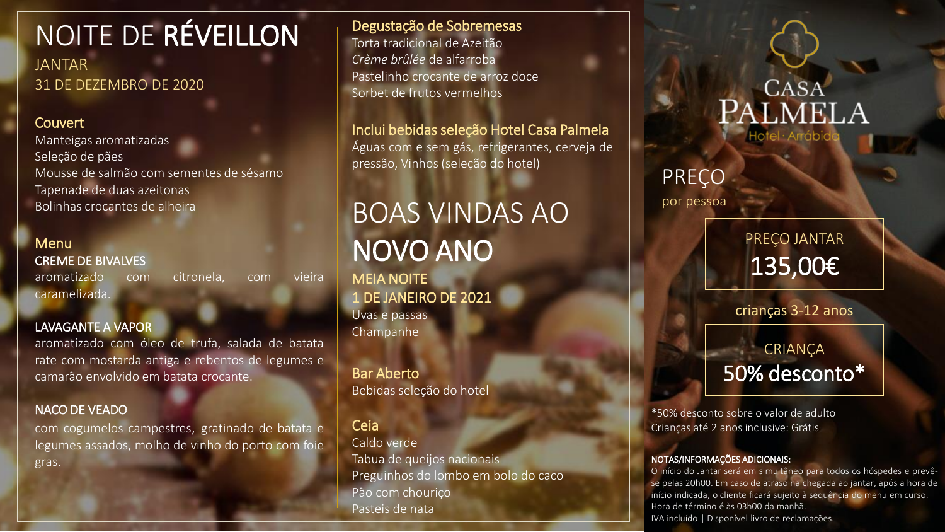# NOITE DE RÉVEILLON

JANTAR 31 DE DEZEMBRO DE 2020

# Couvert

Manteigas aromatizadas Seleção de pães Mousse de salmão com sementes de sésamo Tapenade de duas azeitonas Bolinhas crocantes de alheira

### **Menu** CREME DE BIVALVES

aromatizado com citronela, com vieira caramelizada.

## LAVAGANTE A VAPOR

aromatizado com óleo de trufa, salada de batata rate com mostarda antiga e rebentos de legumes e camarão envolvido em batata crocante.

### NACO DE VEADO

com cogumelos campestres, gratinado de batata e legumes assados, molho de vinho do porto com foie gras.

Degustação de Sobremesas Torta tradicional de Azeitão *Crème brûlée* de alfarroba Pastelinho crocante de arroz doce Sorbet de frutos vermelhos

Inclui bebidas seleção Hotel Casa Palmela Águas com e sem gás, refrigerantes, cerveja de pressão, Vinhos (seleção do hotel)

# BOAS VINDAS AO NOVO ANO

MEIA NOITE 1 DE JANEIRO DE 2021 Uvas e passas Champanhe

Bar Aberto Bebidas seleção do hotel

## Ceia

Caldo verde Tabua de queijos nacionais Preguinhos do lombo em bolo do caco Pão com chouriço Pasteis de nata

**CASA** PALMELA

# PREÇO

por pessoa

PREÇO JANTAR 135,00€

crianças 3-12 anos

# CRIANÇA 50% desconto\*

\*50% desconto sobre o valor de adulto Crianças até 2 anos inclusive: Grátis

#### NOTAS/INFORMAÇÕES ADICIONAIS:

O início do Jantar será em simultâneo para todos os hóspedes e prevêse pelas 20h00. Em caso de atraso na chegada ao jantar, após a hora de início indicada, o cliente ficará sujeito à sequência do menu em curso. Hora de término é às 03h00 da manhã. IVA incluído | Disponível livro de reclamações.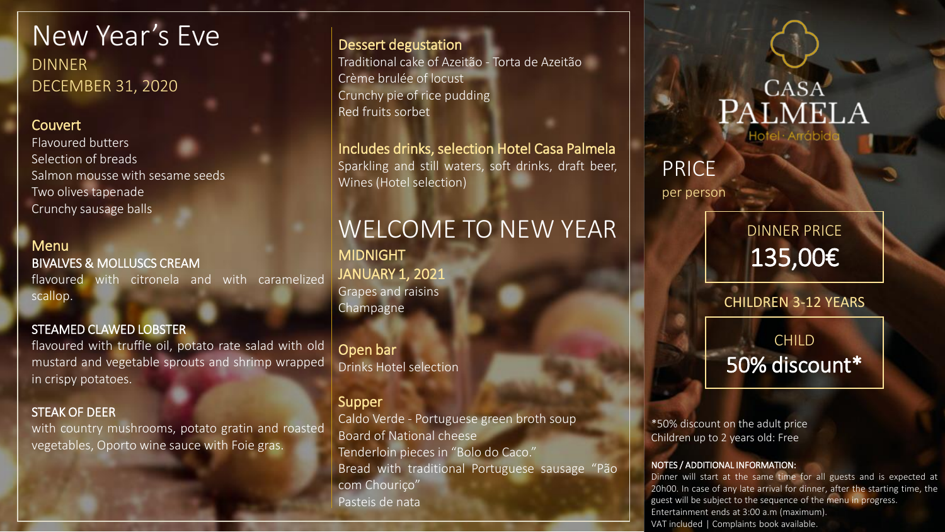New Year's Eve DINNER DECEMBER 31, 2020

### **Couvert**

Flavoured butters Selection of breads Salmon mousse with sesame seeds Two olives tapenade Crunchy sausage balls

# **Menu** BIVALVES & MOLLUSCS CREAM

flavoured with citronela and with caramelized scallop.

### STEAMED CLAWED LOBSTER

flavoured with truffle oil, potato rate salad with old mustard and vegetable sprouts and shrimp wrapped in crispy potatoes.

### STEAK OF DEER

with country mushrooms, potato gratin and roasted vegetables, Oporto wine sauce with Foie gras.

## Dessert degustation

Traditional cake of Azeitão - Torta de Azeitão Crème brulée of locust Crunchy pie of rice pudding Red fruits sorbet

Includes drinks, selection Hotel Casa Palmela Sparkling and still waters, soft drinks, draft beer, Wines (Hotel selection)

# WELCOME TO NEW YEAR

MIDNIGHT JANUARY 1, 2021 Grapes and raisins **Champagne** 

Open bar Drinks Hotel selection

### Supper

Caldo Verde - Portuguese green broth soup Board of National cheese Tenderloin pieces in "Bolo do Caco." Bread with traditional Portuguese sausage "Pão com Chouriço" Pasteis de nata

# **CASA** PALMELA

# PRICE

per person

DINNER PRICE 135,00€

CHILDREN 3-12 YEARS

# CHILD 50% discount\*

\*50% discount on the adult price Children up to 2 years old: Free

#### NOTES / ADDITIONAL INFORMATION:

Dinner will start at the same time for all guests and is expected at 20h00. In case of any late arrival for dinner, after the starting time, the guest will be subject to the sequence of the menu in progress. Entertainment ends at 3:00 a.m (maximum). VAT included | Complaints book available.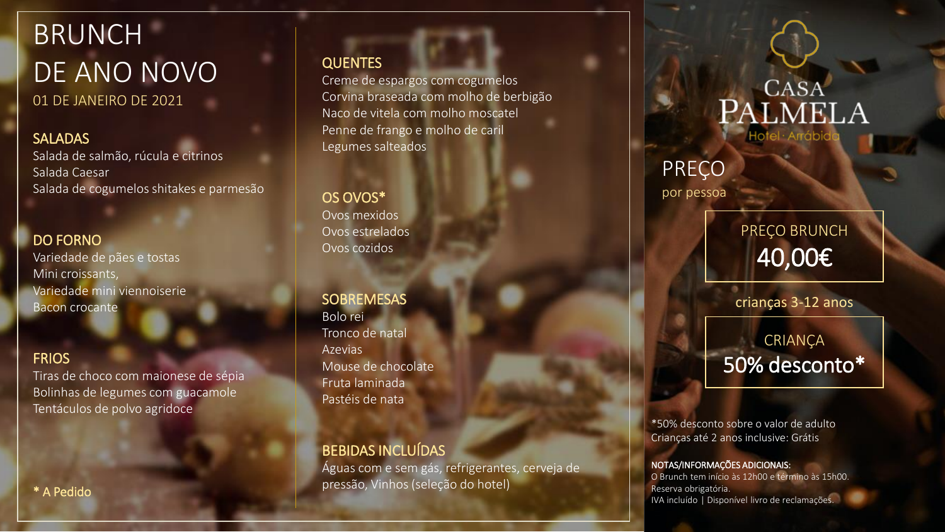# **BRUNCH** DE ANO NOVO 01 DE JANEIRO DE 2021

**SALADAS** Salada de salmão, rúcula e citrinos

Salada Caesar Salada de cogumelos shitakes e parmesão

## DO FORNO

Variedade de pães e tostas Mini croissants, Variedade mini viennoiserie Bacon crocante

# **FRIOS**

Tiras de choco com maionese de sépia Bolinhas de legumes com guacamole Tentáculos de polvo agridoce

# QUENTES

Creme de espargos com cogumelos Corvina braseada com molho de berbigão Naco de vitela com molho moscatel Penne de frango e molho de caril Legumes salteados

OS OVOS\* Ovos mexidos Ovos estrelados Ovos cozidos

**SOBREMESAS** Bolo rei Tronco de natal Azevias Mouse de chocolate Fruta laminada Pastéis de nata

# BEBIDAS INCLUÍDAS

Águas com e sem gás, refrigerantes, cerveja de pressão, Vinhos (seleção do hotel)

# **CASA** PALMELA Hotel · Arráb

# PREÇO

por pessoa

PREÇO BRUNCH 40,00€

crianças 3-12 anos

# CRIANÇA 50% desconto\*

\*50% desconto sobre o valor de adulto Crianças até 2 anos inclusive: Grátis

#### NOTAS/INFORMAÇÕES ADICIONAIS:

O Brunch tem início às 12h00 e término às 15h00. Reserva obrigatória. IVA incluído | Disponível livro de reclamações.